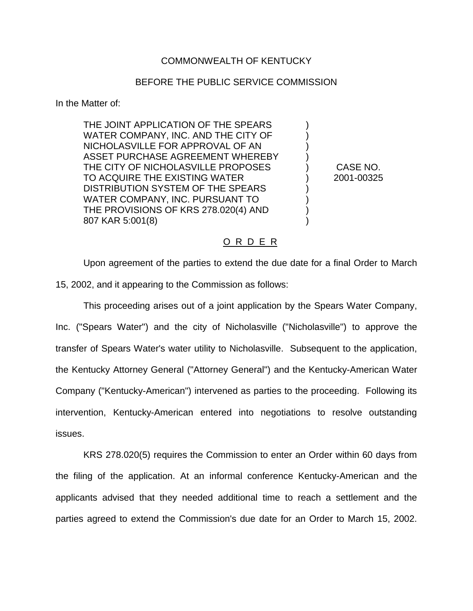## COMMONWEALTH OF KENTUCKY

## BEFORE THE PUBLIC SERVICE COMMISSION

In the Matter of:

THE JOINT APPLICATION OF THE SPEARS ) WATER COMPANY, INC. AND THE CITY OF NICHOLASVILLE FOR APPROVAL OF AN ) ASSET PURCHASE AGREEMENT WHEREBY THE CITY OF NICHOLASVILLE PROPOSES ) CASE NO. TO ACQUIRE THE EXISTING WATER  $(2001 - 2001 - 00325)$ DISTRIBUTION SYSTEM OF THE SPEARS ) WATER COMPANY, INC. PURSUANT TO THE PROVISIONS OF KRS 278.020(4) AND ) 807 KAR 5:001(8)

## O R D E R

Upon agreement of the parties to extend the due date for a final Order to March 15, 2002, and it appearing to the Commission as follows:

This proceeding arises out of a joint application by the Spears Water Company, Inc. ("Spears Water") and the city of Nicholasville ("Nicholasville") to approve the transfer of Spears Water's water utility to Nicholasville. Subsequent to the application, the Kentucky Attorney General ("Attorney General") and the Kentucky-American Water Company ("Kentucky-American") intervened as parties to the proceeding. Following its intervention, Kentucky-American entered into negotiations to resolve outstanding issues.

KRS 278.020(5) requires the Commission to enter an Order within 60 days from the filing of the application. At an informal conference Kentucky-American and the applicants advised that they needed additional time to reach a settlement and the parties agreed to extend the Commission's due date for an Order to March 15, 2002.